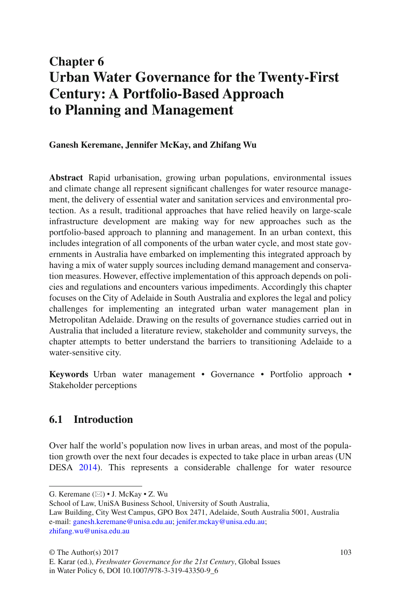# **Chapter 6 Urban Water Governance for the Twenty-First Century: A Portfolio-Based Approach to Planning and Management**

### **Ganesh Keremane , Jennifer McKay , and Zhifang Wu**

 **Abstract** Rapid urbanisation, growing urban populations, environmental issues and climate change all represent significant challenges for water resource management, the delivery of essential water and sanitation services and environmental protection. As a result, traditional approaches that have relied heavily on large-scale infrastructure development are making way for new approaches such as the portfolio- based approach to planning and management. In an urban context, this includes integration of all components of the urban water cycle, and most state governments in Australia have embarked on implementing this integrated approach by having a mix of water supply sources including demand management and conservation measures. However, effective implementation of this approach depends on policies and regulations and encounters various impediments. Accordingly this chapter focuses on the City of Adelaide in South Australia and explores the legal and policy challenges for implementing an integrated urban water management plan in Metropolitan Adelaide. Drawing on the results of governance studies carried out in Australia that included a literature review, stakeholder and community surveys, the chapter attempts to better understand the barriers to transitioning Adelaide to a water-sensitive city.

 **Keywords** Urban water management • Governance • Portfolio approach • Stakeholder perceptions

# **6.1 Introduction**

 Over half the world's population now lives in urban areas, and most of the population growth over the next four decades is expected to take place in urban areas (UN DESA 2014). This represents a considerable challenge for water resource

School of Law, UniSA Business School, University of South Australia,

G. Keremane ( $\boxtimes$ ) • J. McKay • Z. Wu

Law Building, City West Campus, GPO Box 2471, Adelaide, South Australia 5001, Australia e-mail: [ganesh.keremane@unisa.edu.au](mailto:ganesh.keremane@unisa.edu.au); [jenifer.mckay@unisa.edu.au](mailto:jenifer.mckay@unisa.edu.au); [zhifang.wu@unisa.edu.au](mailto:zhifang.wu@unisa.edu.au)

E. Karar (ed.), *Freshwater Governance for the 21st Century*, Global Issues in Water Policy 6, DOI 10.1007/978-3-319-43350-9\_6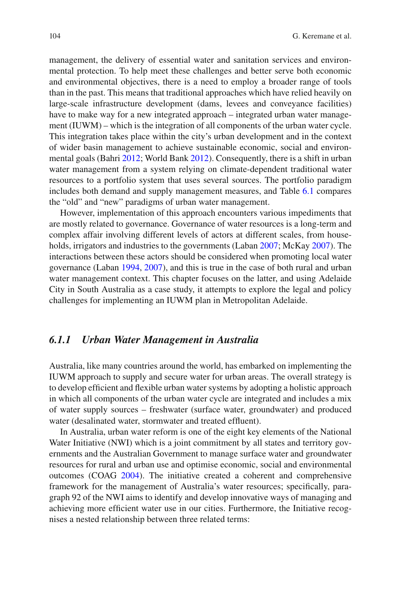management, the delivery of essential water and sanitation services and environmental protection. To help meet these challenges and better serve both economic and environmental objectives, there is a need to employ a broader range of tools than in the past. This means that traditional approaches which have relied heavily on large- scale infrastructure development (dams, levees and conveyance facilities) have to make way for a new integrated approach – integrated urban water management (IUWM) – which is the integration of all components of the urban water cycle. This integration takes place within the city's urban development and in the context of wider basin management to achieve sustainable economic, social and environmental goals (Bahri [2012 ;](#page-22-0) World Bank [2012 \)](#page-24-0). Consequently, there is a shift in urban water management from a system relying on climate-dependent traditional water resources to a portfolio system that uses several sources. The portfolio paradigm includes both demand and supply management measures, and Table [6.1](#page-2-0) compares the "old" and "new" paradigms of urban water management.

 However, implementation of this approach encounters various impediments that are mostly related to governance. Governance of water resources is a long-term and complex affair involving different levels of actors at different scales, from households, irrigators and industries to the governments (Laban 2007; McKay 2007). The interactions between these actors should be considered when promoting local water governance (Laban [1994](#page-23-0) , [2007](#page-23-0) ), and this is true in the case of both rural and urban water management context. This chapter focuses on the latter, and using Adelaide City in South Australia as a case study, it attempts to explore the legal and policy challenges for implementing an IUWM plan in Metropolitan Adelaide.

# *6.1.1 Urban Water Management in Australia*

 Australia, like many countries around the world, has embarked on implementing the IUWM approach to supply and secure water for urban areas. The overall strategy is to develop efficient and flexible urban water systems by adopting a holistic approach in which all components of the urban water cycle are integrated and includes a mix of water supply sources – freshwater (surface water, groundwater) and produced water (desalinated water, stormwater and treated effluent).

 In Australia, urban water reform is one of the eight key elements of the National Water Initiative (NWI) which is a joint commitment by all states and territory governments and the Australian Government to manage surface water and groundwater resources for rural and urban use and optimise economic, social and environmental outcomes (COAG 2004). The initiative created a coherent and comprehensive framework for the management of Australia's water resources; specifically, paragraph 92 of the NWI aims to identify and develop innovative ways of managing and achieving more efficient water use in our cities. Furthermore, the Initiative recognises a nested relationship between three related terms: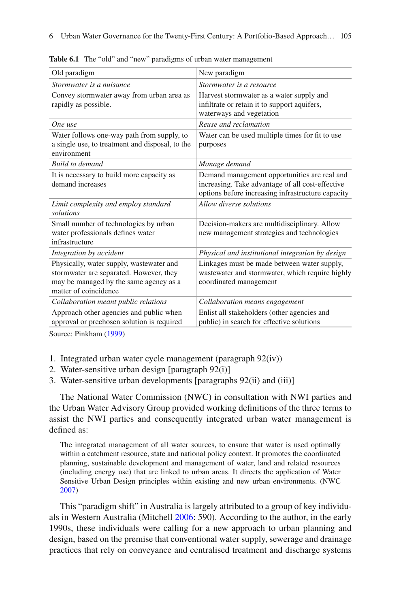| Old paradigm                                                                                                                                           | New paradigm                                                                                                                                          |
|--------------------------------------------------------------------------------------------------------------------------------------------------------|-------------------------------------------------------------------------------------------------------------------------------------------------------|
| Stormwater is a nuisance                                                                                                                               | Stormwater is a resource                                                                                                                              |
| Convey stormwater away from urban area as<br>rapidly as possible.                                                                                      | Harvest stormwater as a water supply and<br>infiltrate or retain it to support aquifers,<br>waterways and vegetation                                  |
| One use                                                                                                                                                | Reuse and reclamation                                                                                                                                 |
| Water follows one-way path from supply, to<br>a single use, to treatment and disposal, to the<br>environment                                           | Water can be used multiple times for fit to use<br>purposes                                                                                           |
| Build to demand                                                                                                                                        | Manage demand                                                                                                                                         |
| It is necessary to build more capacity as<br>demand increases                                                                                          | Demand management opportunities are real and<br>increasing. Take advantage of all cost-effective<br>options before increasing infrastructure capacity |
| Limit complexity and employ standard<br>solutions                                                                                                      | Allow diverse solutions                                                                                                                               |
| Small number of technologies by urban<br>water professionals defines water<br>infrastructure                                                           | Decision-makers are multidisciplinary. Allow<br>new management strategies and technologies                                                            |
| Integration by accident                                                                                                                                | Physical and institutional integration by design                                                                                                      |
| Physically, water supply, wastewater and<br>stormwater are separated. However, they<br>may be managed by the same agency as a<br>matter of coincidence | Linkages must be made between water supply,<br>wastewater and stormwater, which require highly<br>coordinated management                              |
| Collaboration meant public relations                                                                                                                   | Collaboration means engagement                                                                                                                        |
| Approach other agencies and public when<br>approval or prechosen solution is required                                                                  | Enlist all stakeholders (other agencies and<br>public) in search for effective solutions                                                              |

<span id="page-2-0"></span> **Table 6.1** The "old" and "new" paradigms of urban water management

Source: Pinkham (1999)

- 1. Integrated urban water cycle management (paragraph 92(iv))
- 2. Water-sensitive urban design [paragraph 92(i)]
- 3. Water-sensitive urban developments [paragraphs 92(ii) and (iii)]

 The National Water Commission (NWC) in consultation with NWI parties and the Urban Water Advisory Group provided working definitions of the three terms to assist the NWI parties and consequently integrated urban water management is defined as:

 The integrated management of all water sources, to ensure that water is used optimally within a catchment resource, state and national policy context. It promotes the coordinated planning, sustainable development and management of water, land and related resources (including energy use) that are linked to urban areas. It directs the application of Water Sensitive Urban Design principles within existing and new urban environments. (NWC [2007 \)](#page-23-0)

 This "paradigm shift" in Australia is largely attributed to a group of key individuals in Western Australia (Mitchell 2006: 590). According to the author, in the early 1990s, these individuals were calling for a new approach to urban planning and design, based on the premise that conventional water supply, sewerage and drainage practices that rely on conveyance and centralised treatment and discharge systems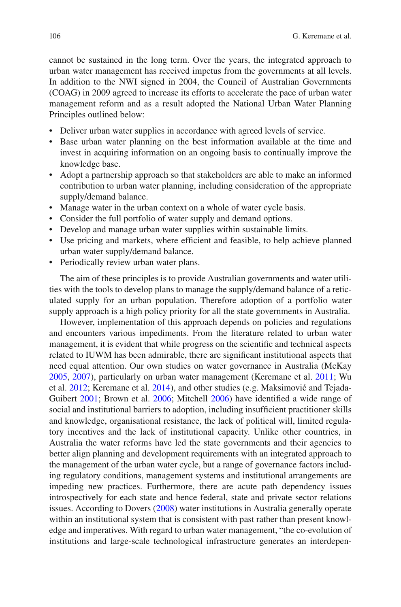cannot be sustained in the long term. Over the years, the integrated approach to urban water management has received impetus from the governments at all levels. In addition to the NWI signed in 2004, the Council of Australian Governments (COAG) in 2009 agreed to increase its efforts to accelerate the pace of urban water management reform and as a result adopted the National Urban Water Planning Principles outlined below:

- Deliver urban water supplies in accordance with agreed levels of service.
- Base urban water planning on the best information available at the time and invest in acquiring information on an ongoing basis to continually improve the knowledge base.
- Adopt a partnership approach so that stakeholders are able to make an informed contribution to urban water planning, including consideration of the appropriate supply/demand balance.
- Manage water in the urban context on a whole of water cycle basis.
- Consider the full portfolio of water supply and demand options.
- Develop and manage urban water supplies within sustainable limits.
- Use pricing and markets, where efficient and feasible, to help achieve planned urban water supply/demand balance.
- Periodically review urban water plans.

 The aim of these principles is to provide Australian governments and water utilities with the tools to develop plans to manage the supply/demand balance of a reticulated supply for an urban population. Therefore adoption of a portfolio water supply approach is a high policy priority for all the state governments in Australia.

 However, implementation of this approach depends on policies and regulations and encounters various impediments. From the literature related to urban water management, it is evident that while progress on the scientific and technical aspects related to IUWM has been admirable, there are significant institutional aspects that need equal attention. Our own studies on water governance in Australia (McKay 2005, [2007](#page-23-0)), particularly on urban water management (Keremane et al. 2011; Wu et al. [2012 ;](#page-24-0) Keremane et al. [2014 \)](#page-23-0), and other studies (e.g. Maksimović and Tejada-Guibert  $2001$ ; Brown et al.  $2006$ ; Mitchell  $2006$ ) have identified a wide range of social and institutional barriers to adoption, including insufficient practitioner skills and knowledge, organisational resistance, the lack of political will, limited regulatory incentives and the lack of institutional capacity. Unlike other countries, in Australia the water reforms have led the state governments and their agencies to better align planning and development requirements with an integrated approach to the management of the urban water cycle, but a range of governance factors including regulatory conditions, management systems and institutional arrangements are impeding new practices. Furthermore, there are acute path dependency issues introspectively for each state and hence federal, state and private sector relations issues. According to Dovers (2008) water institutions in Australia generally operate within an institutional system that is consistent with past rather than present knowledge and imperatives. With regard to urban water management, "the co-evolution of institutions and large-scale technological infrastructure generates an interdepen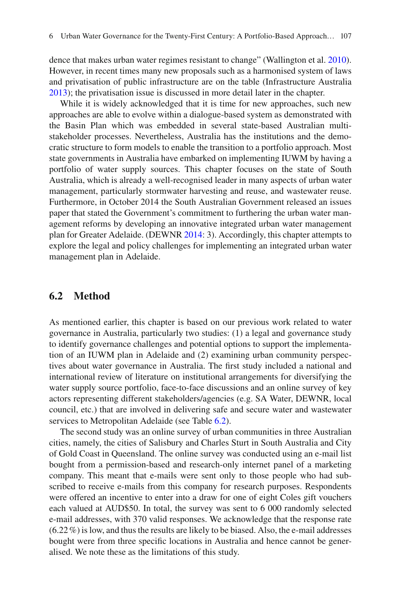dence that makes urban water regimes resistant to change" (Wallington et al. 2010). However, in recent times many new proposals such as a harmonised system of laws and privatisation of public infrastructure are on the table (Infrastructure Australia [2013 \)](#page-23-0); the privatisation issue is discussed in more detail later in the chapter.

 While it is widely acknowledged that it is time for new approaches, such new approaches are able to evolve within a dialogue-based system as demonstrated with the Basin Plan which was embedded in several state-based Australian multistakeholder processes. Nevertheless, Australia has the institutions and the democratic structure to form models to enable the transition to a portfolio approach. Most state governments in Australia have embarked on implementing IUWM by having a portfolio of water supply sources. This chapter focuses on the state of South Australia, which is already a well-recognised leader in many aspects of urban water management, particularly stormwater harvesting and reuse, and wastewater reuse. Furthermore, in October 2014 the South Australian Government released an issues paper that stated the Government's commitment to furthering the urban water management reforms by developing an innovative integrated urban water management plan for Greater Adelaide. (DEWNR [2014 :](#page-22-0) 3). Accordingly, this chapter attempts to explore the legal and policy challenges for implementing an integrated urban water management plan in Adelaide.

# **6.2 Method**

 As mentioned earlier, this chapter is based on our previous work related to water governance in Australia, particularly two studies: (1) a legal and governance study to identify governance challenges and potential options to support the implementation of an IUWM plan in Adelaide and (2) examining urban community perspectives about water governance in Australia. The first study included a national and international review of literature on institutional arrangements for diversifying the water supply source portfolio, face-to-face discussions and an online survey of key actors representing different stakeholders/agencies (e.g. SA Water, DEWNR, local council, etc.) that are involved in delivering safe and secure water and wastewater services to Metropolitan Adelaide (see Table 6.2).

 The second study was an online survey of urban communities in three Australian cities, namely, the cities of Salisbury and Charles Sturt in South Australia and City of Gold Coast in Queensland. The online survey was conducted using an e-mail list bought from a permission-based and research-only internet panel of a marketing company. This meant that e-mails were sent only to those people who had subscribed to receive e-mails from this company for research purposes. Respondents were offered an incentive to enter into a draw for one of eight Coles gift vouchers each valued at AUD\$50. In total, the survey was sent to 6 000 randomly selected e-mail addresses, with 370 valid responses. We acknowledge that the response rate (6.22 %) is low, and thus the results are likely to be biased. Also, the e-mail addresses bought were from three specific locations in Australia and hence cannot be generalised. We note these as the limitations of this study.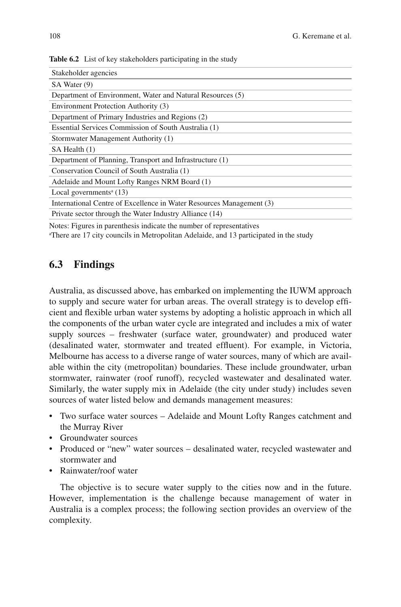| Stakeholder agencies                                                 |
|----------------------------------------------------------------------|
| SA Water (9)                                                         |
| Department of Environment, Water and Natural Resources (5)           |
| Environment Protection Authority (3)                                 |
| Department of Primary Industries and Regions (2)                     |
| Essential Services Commission of South Australia (1)                 |
| Stormwater Management Authority (1)                                  |
| SA Health (1)                                                        |
| Department of Planning, Transport and Infrastructure (1)             |
| Conservation Council of South Australia (1)                          |
| Adelaide and Mount Lofty Ranges NRM Board (1)                        |
| Local governments <sup>a</sup> $(13)$                                |
| International Centre of Excellence in Water Resources Management (3) |
| Private sector through the Water Industry Alliance (14)              |
|                                                                      |

<span id="page-5-0"></span> **Table 6.2** List of key stakeholders participating in the study

Notes: Figures in parenthesis indicate the number of representatives

a There are 17 city councils in Metropolitan Adelaide, and 13 participated in the study

# **6.3 Findings**

 Australia, as discussed above, has embarked on implementing the IUWM approach to supply and secure water for urban areas. The overall strategy is to develop efficient and flexible urban water systems by adopting a holistic approach in which all the components of the urban water cycle are integrated and includes a mix of water supply sources – freshwater (surface water, groundwater) and produced water (desalinated water, stormwater and treated effluent). For example, in Victoria, Melbourne has access to a diverse range of water sources, many of which are available within the city (metropolitan) boundaries. These include groundwater, urban stormwater, rainwater (roof runoff), recycled wastewater and desalinated water. Similarly, the water supply mix in Adelaide (the city under study) includes seven sources of water listed below and demands management measures:

- Two surface water sources Adelaide and Mount Lofty Ranges catchment and the Murray River
- Groundwater sources
- Produced or "new" water sources desalinated water, recycled wastewater and stormwater and
- Rainwater/roof water

 The objective is to secure water supply to the cities now and in the future. However, implementation is the challenge because management of water in Australia is a complex process; the following section provides an overview of the complexity.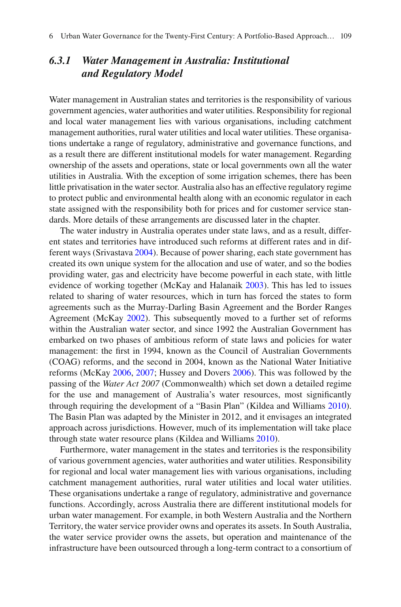# *6.3.1 Water Management in Australia: Institutional and Regulatory Model*

 Water management in Australian states and territories is the responsibility of various government agencies, water authorities and water utilities. Responsibility for regional and local water management lies with various organisations, including catchment management authorities, rural water utilities and local water utilities. These organisations undertake a range of regulatory, administrative and governance functions, and as a result there are different institutional models for water management. Regarding ownership of the assets and operations, state or local governments own all the water utilities in Australia. With the exception of some irrigation schemes, there has been little privatisation in the water sector. Australia also has an effective regulatory regime to protect public and environmental health along with an economic regulator in each state assigned with the responsibility both for prices and for customer service standards. More details of these arrangements are discussed later in the chapter.

 The water industry in Australia operates under state laws, and as a result, different states and territories have introduced such reforms at different rates and in different ways (Srivastava 2004). Because of power sharing, each state government has created its own unique system for the allocation and use of water, and so the bodies providing water, gas and electricity have become powerful in each state, with little evidence of working together (McKay and Halanaik [2003](#page-23-0)). This has led to issues related to sharing of water resources, which in turn has forced the states to form agreements such as the Murray-Darling Basin Agreement and the Border Ranges Agreement (McKay [2002](#page-23-0)). This subsequently moved to a further set of reforms within the Australian water sector, and since 1992 the Australian Government has embarked on two phases of ambitious reform of state laws and policies for water management: the first in 1994, known as the Council of Australian Governments (COAG) reforms, and the second in 2004, known as the National Water Initiative reforms (McKay 2006, [2007](#page-23-0); Hussey and Dovers [2006](#page-22-0)). This was followed by the passing of the *Water Act 2007* (Commonwealth) which set down a detailed regime for the use and management of Australia's water resources, most significantly through requiring the development of a "Basin Plan" (Kildea and Williams 2010). The Basin Plan was adapted by the Minister in 2012, and it envisages an integrated approach across jurisdictions. However, much of its implementation will take place through state water resource plans (Kildea and Williams [2010](#page-23-0)).

 Furthermore, water management in the states and territories is the responsibility of various government agencies, water authorities and water utilities. Responsibility for regional and local water management lies with various organisations, including catchment management authorities, rural water utilities and local water utilities. These organisations undertake a range of regulatory, administrative and governance functions. Accordingly, across Australia there are different institutional models for urban water management. For example, in both Western Australia and the Northern Territory, the water service provider owns and operates its assets. In South Australia, the water service provider owns the assets, but operation and maintenance of the infrastructure have been outsourced through a long-term contract to a consortium of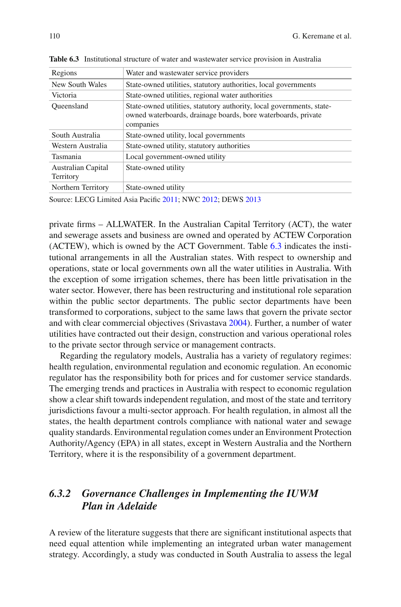| Regions                         | Water and wastewater service providers                                                                                                              |
|---------------------------------|-----------------------------------------------------------------------------------------------------------------------------------------------------|
| New South Wales                 | State-owned utilities, statutory authorities, local governments                                                                                     |
| Victoria                        | State-owned utilities, regional water authorities                                                                                                   |
| Oueensland                      | State-owned utilities, statutory authority, local governments, state-<br>owned waterboards, drainage boards, bore waterboards, private<br>companies |
| South Australia                 | State-owned utility, local governments                                                                                                              |
| Western Australia               | State-owned utility, statutory authorities                                                                                                          |
| Tasmania                        | Local government-owned utility                                                                                                                      |
| Australian Capital<br>Territory | State-owned utility                                                                                                                                 |
| Northern Territory              | State-owned utility                                                                                                                                 |

 **Table 6.3** Institutional structure of water and wastewater service provision in Australia

Source: LECG Limited Asia Pacific [2011](#page-23-0); NWC 2012; DEWS [2013](#page-22-0)

private firms  $-$  ALLWATER. In the Australian Capital Territory (ACT), the water and sewerage assets and business are owned and operated by ACTEW Corporation (ACTEW), which is owned by the ACT Government. Table 6.3 indicates the institutional arrangements in all the Australian states. With respect to ownership and operations, state or local governments own all the water utilities in Australia. With the exception of some irrigation schemes, there has been little privatisation in the water sector. However, there has been restructuring and institutional role separation within the public sector departments. The public sector departments have been transformed to corporations, subject to the same laws that govern the private sector and with clear commercial objectives (Srivastava 2004). Further, a number of water utilities have contracted out their design, construction and various operational roles to the private sector through service or management contracts.

 Regarding the regulatory models, Australia has a variety of regulatory regimes: health regulation, environmental regulation and economic regulation. An economic regulator has the responsibility both for prices and for customer service standards. The emerging trends and practices in Australia with respect to economic regulation show a clear shift towards independent regulation, and most of the state and territory jurisdictions favour a multi-sector approach. For health regulation, in almost all the states, the health department controls compliance with national water and sewage quality standards. Environmental regulation comes under an Environment Protection Authority/Agency (EPA) in all states, except in Western Australia and the Northern Territory, where it is the responsibility of a government department.

# *6.3.2 Governance Challenges in Implementing the IUWM Plan in Adelaide*

A review of the literature suggests that there are significant institutional aspects that need equal attention while implementing an integrated urban water management strategy. Accordingly, a study was conducted in South Australia to assess the legal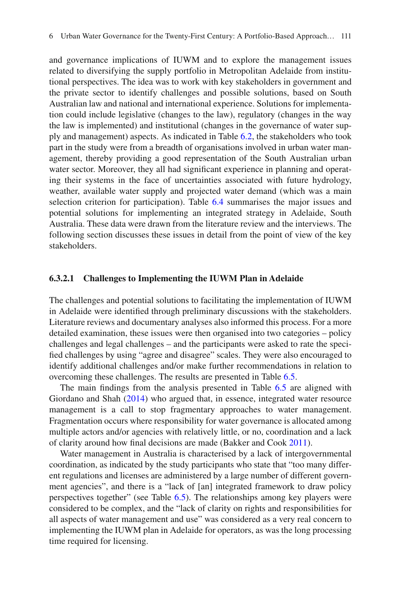and governance implications of IUWM and to explore the management issues related to diversifying the supply portfolio in Metropolitan Adelaide from institutional perspectives. The idea was to work with key stakeholders in government and the private sector to identify challenges and possible solutions, based on South Australian law and national and international experience. Solutions for implementation could include legislative (changes to the law), regulatory (changes in the way the law is implemented) and institutional (changes in the governance of water supply and management) aspects. As indicated in Table [6.2](#page-5-0) , the stakeholders who took part in the study were from a breadth of organisations involved in urban water management, thereby providing a good representation of the South Australian urban water sector. Moreover, they all had significant experience in planning and operating their systems in the face of uncertainties associated with future hydrology, weather, available water supply and projected water demand (which was a main selection criterion for participation). Table [6.4](#page-9-0) summarises the major issues and potential solutions for implementing an integrated strategy in Adelaide, South Australia. These data were drawn from the literature review and the interviews. The following section discusses these issues in detail from the point of view of the key stakeholders.

#### **6.3.2.1 Challenges to Implementing the IUWM Plan in Adelaide**

 The challenges and potential solutions to facilitating the implementation of IUWM in Adelaide were identified through preliminary discussions with the stakeholders. Literature reviews and documentary analyses also informed this process. For a more detailed examination, these issues were then organised into two categories – policy challenges and legal challenges – and the participants were asked to rate the specified challenges by using "agree and disagree" scales. They were also encouraged to identify additional challenges and/or make further recommendations in relation to overcoming these challenges. The results are presented in Table [6.5 .](#page-10-0)

The main findings from the analysis presented in Table  $6.5$  are aligned with Giordano and Shah (2014) who argued that, in essence, integrated water resource management is a call to stop fragmentary approaches to water management. Fragmentation occurs where responsibility for water governance is allocated among multiple actors and/or agencies with relatively little, or no, coordination and a lack of clarity around how final decisions are made (Bakker and Cook [2011](#page-22-0)).

 Water management in Australia is characterised by a lack of intergovernmental coordination, as indicated by the study participants who state that "too many different regulations and licenses are administered by a large number of different government agencies", and there is a "lack of [an] integrated framework to draw policy perspectives together" (see Table [6.5 \)](#page-10-0). The relationships among key players were considered to be complex, and the "lack of clarity on rights and responsibilities for all aspects of water management and use" was considered as a very real concern to implementing the IUWM plan in Adelaide for operators, as was the long processing time required for licensing.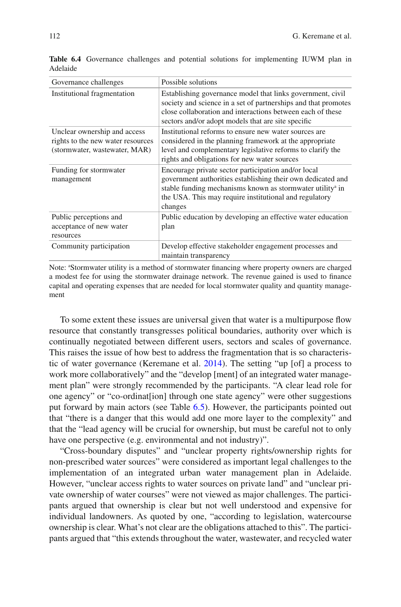| Governance challenges                                                                              | Possible solutions                                                                                                                                                                                                                                               |
|----------------------------------------------------------------------------------------------------|------------------------------------------------------------------------------------------------------------------------------------------------------------------------------------------------------------------------------------------------------------------|
| Institutional fragmentation                                                                        | Establishing governance model that links government, civil<br>society and science in a set of partnerships and that promotes<br>close collaboration and interactions between each of these<br>sectors and/or adopt models that are site specific                 |
| Unclear ownership and access<br>rights to the new water resources<br>(stormwater, wastewater, MAR) | Institutional reforms to ensure new water sources are<br>considered in the planning framework at the appropriate<br>level and complementary legislative reforms to clarify the<br>rights and obligations for new water sources                                   |
| Funding for stormwater<br>management                                                               | Encourage private sector participation and/or local<br>government authorities establishing their own dedicated and<br>stable funding mechanisms known as stormwater utility <sup>a</sup> in<br>the USA. This may require institutional and regulatory<br>changes |
| Public perceptions and<br>acceptance of new water<br>resources                                     | Public education by developing an effective water education<br>plan                                                                                                                                                                                              |
| Community participation                                                                            | Develop effective stakeholder engagement processes and<br>maintain transparency                                                                                                                                                                                  |

<span id="page-9-0"></span> **Table 6.4** Governance challenges and potential solutions for implementing IUWM plan in Adelaide

Note: <sup>a</sup>Stormwater utility is a method of stormwater financing where property owners are charged a modest fee for using the stormwater drainage network. The revenue gained is used to finance capital and operating expenses that are needed for local stormwater quality and quantity management

To some extent these issues are universal given that water is a multipurpose flow resource that constantly transgresses political boundaries, authority over which is continually negotiated between different users, sectors and scales of governance. This raises the issue of how best to address the fragmentation that is so characteristic of water governance (Keremane et al.  $2014$ ). The setting "up [of] a process to work more collaboratively" and the "develop [ment] of an integrated water management plan" were strongly recommended by the participants. "A clear lead role for one agency" or "co-ordinat[ion] through one state agency" were other suggestions put forward by main actors (see Table [6.5](#page-10-0)). However, the participants pointed out that "there is a danger that this would add one more layer to the complexity" and that the "lead agency will be crucial for ownership, but must be careful not to only have one perspective (e.g. environmental and not industry)".

 "Cross-boundary disputes" and "unclear property rights/ownership rights for non-prescribed water sources" were considered as important legal challenges to the implementation of an integrated urban water management plan in Adelaide. However, "unclear access rights to water sources on private land" and "unclear private ownership of water courses" were not viewed as major challenges. The participants argued that ownership is clear but not well understood and expensive for individual landowners. As quoted by one, "according to legislation, watercourse ownership is clear. What's not clear are the obligations attached to this". The participants argued that "this extends throughout the water, wastewater, and recycled water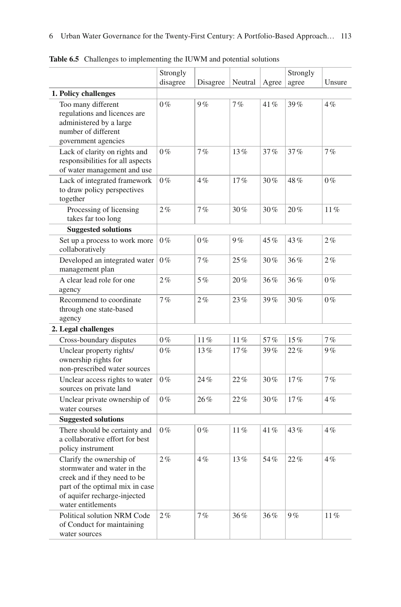|                                                                                                                                                                                  | Strongly |          |         |       | Strongly |        |
|----------------------------------------------------------------------------------------------------------------------------------------------------------------------------------|----------|----------|---------|-------|----------|--------|
|                                                                                                                                                                                  | disagree | Disagree | Neutral | Agree | agree    | Unsure |
| 1. Policy challenges                                                                                                                                                             |          |          |         |       |          |        |
| Too many different<br>regulations and licences are<br>administered by a large<br>number of different<br>government agencies                                                      | $0\%$    | 9%       | 7%      | 41%   | 39%      | 4%     |
| Lack of clarity on rights and<br>responsibilities for all aspects<br>of water management and use                                                                                 | $0\%$    | 7%       | $13\%$  | 37%   | 37%      | 7%     |
| Lack of integrated framework<br>to draw policy perspectives<br>together                                                                                                          | $0\%$    | 4%       | 17%     | 30%   | 48%      | $0\%$  |
| Processing of licensing<br>takes far too long                                                                                                                                    | 2%       | 7%       | 30%     | 30%   | 20%      | $11\%$ |
| <b>Suggested solutions</b>                                                                                                                                                       |          |          |         |       |          |        |
| Set up a process to work more<br>collaboratively                                                                                                                                 | $0\%$    | $0\%$    | 9%      | 45%   | 43%      | 2%     |
| Developed an integrated water<br>management plan                                                                                                                                 | $0\%$    | 7%       | 25%     | 30%   | 36%      | 2%     |
| A clear lead role for one<br>agency                                                                                                                                              | $2\%$    | $5\%$    | 20%     | 36%   | 36%      | $0\%$  |
| Recommend to coordinate<br>through one state-based<br>agency                                                                                                                     | 7%       | 2%       | 23%     | 39%   | $30\%$   | $0\%$  |
| 2. Legal challenges                                                                                                                                                              |          |          |         |       |          |        |
| Cross-boundary disputes                                                                                                                                                          | $0\%$    | 11%      | 11%     | 57%   | $15\%$   | 7%     |
| Unclear property rights/<br>ownership rights for<br>non-prescribed water sources                                                                                                 | $0\%$    | 13%      | 17%     | 39%   | 22%      | 9%     |
| Unclear access rights to water<br>sources on private land                                                                                                                        | $0\%$    | 24%      | 22%     | 30%   | 17%      | 7%     |
| Unclear private ownership of<br>water courses                                                                                                                                    | $0\%$    | 26%      | 22%     | 30%   | 17%      | 4%     |
| <b>Suggested solutions</b>                                                                                                                                                       |          |          |         |       |          |        |
| There should be certainty and<br>a collaborative effort for best<br>policy instrument                                                                                            | $0\%$    | $0\%$    | 11%     | 41%   | 43%      | $4\%$  |
| Clarify the ownership of<br>stormwater and water in the<br>creek and if they need to be<br>part of the optimal mix in case<br>of aquifer recharge-injected<br>water entitlements | 2%       | $4\%$    | 13%     | 54%   | 22%      | $4\%$  |
| Political solution NRM Code<br>of Conduct for maintaining<br>water sources                                                                                                       | 2%       | 7%       | 36%     | 36%   | 9%       | 11%    |

<span id="page-10-0"></span> **Table 6.5** Challenges to implementing the IUWM and potential solutions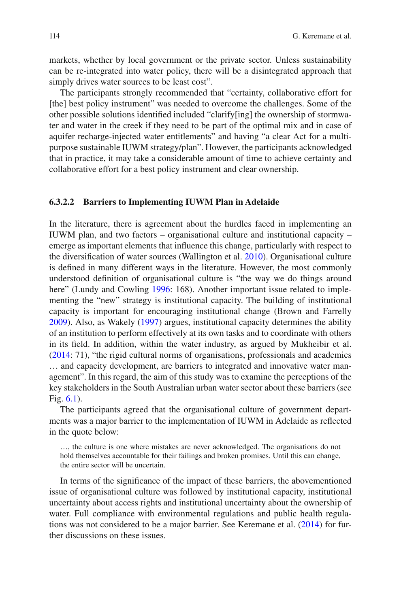markets, whether by local government or the private sector. Unless sustainability can be re-integrated into water policy, there will be a disintegrated approach that simply drives water sources to be least cost".

 The participants strongly recommended that "certainty, collaborative effort for [the] best policy instrument" was needed to overcome the challenges. Some of the other possible solutions identified included "clarify[ing] the ownership of stormwater and water in the creek if they need to be part of the optimal mix and in case of aquifer recharge-injected water entitlements" and having "a clear Act for a multipurpose sustainable IUWM strategy/plan". However, the participants acknowledged that in practice, it may take a considerable amount of time to achieve certainty and collaborative effort for a best policy instrument and clear ownership.

#### **6.3.2.2 Barriers to Implementing IUWM Plan in Adelaide**

 In the literature, there is agreement about the hurdles faced in implementing an IUWM plan, and two factors – organisational culture and institutional capacity – emerge as important elements that influence this change, particularly with respect to the diversification of water sources (Wallington et al.  $2010$ ). Organisational culture is defined in many different ways in the literature. However, the most commonly understood definition of organisational culture is "the way we do things around here" (Lundy and Cowling 1996: 168). Another important issue related to implementing the "new" strategy is institutional capacity. The building of institutional capacity is important for encouraging institutional change (Brown and Farrelly [2009 \)](#page-22-0). Also, as Wakely [\( 1997](#page-24-0) ) argues, institutional capacity determines the ability of an institution to perform effectively at its own tasks and to coordinate with others in its field. In addition, within the water industry, as argued by Mukheibir et al.  $(2014:71)$ , "the rigid cultural norms of organisations, professionals and academics … and capacity development, are barriers to integrated and innovative water management". In this regard, the aim of this study was to examine the perceptions of the key stakeholders in the South Australian urban water sector about these barriers (see Fig.  $6.1$ ).

 The participants agreed that the organisational culture of government departments was a major barrier to the implementation of IUWM in Adelaide as reflected in the quote below:

 …, the culture is one where mistakes are never acknowledged. The organisations do not hold themselves accountable for their failings and broken promises. Until this can change, the entire sector will be uncertain.

In terms of the significance of the impact of these barriers, the abovementioned issue of organisational culture was followed by institutional capacity, institutional uncertainty about access rights and institutional uncertainty about the ownership of water. Full compliance with environmental regulations and public health regulations was not considered to be a major barrier. See Keremane et al.  $(2014)$  for further discussions on these issues.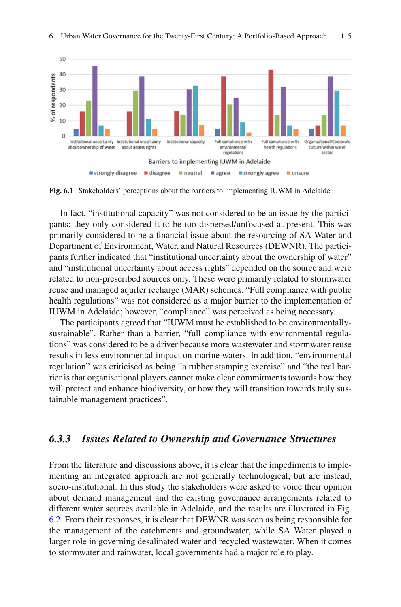<span id="page-12-0"></span>

 **Fig. 6.1** Stakeholders' perceptions about the barriers to implementing IUWM in Adelaide

 In fact, "institutional capacity" was not considered to be an issue by the participants; they only considered it to be too dispersed/unfocused at present. This was primarily considered to be a financial issue about the resourcing of SA Water and Department of Environment, Water, and Natural Resources (DEWNR). The participants further indicated that "institutional uncertainty about the ownership of water" and "institutional uncertainty about access rights" depended on the source and were related to non-prescribed sources only. These were primarily related to stormwater reuse and managed aquifer recharge (MAR) schemes. "Full compliance with public health regulations" was not considered as a major barrier to the implementation of IUWM in Adelaide; however, "compliance" was perceived as being necessary.

 The participants agreed that "IUWM must be established to be environmentallysustainable". Rather than a barrier, "full compliance with environmental regulations" was considered to be a driver because more wastewater and stormwater reuse results in less environmental impact on marine waters. In addition, "environmental regulation" was criticised as being "a rubber stamping exercise" and "the real barrier is that organisational players cannot make clear commitments towards how they will protect and enhance biodiversity, or how they will transition towards truly sustainable management practices".

# *6.3.3 Issues Related to Ownership and Governance Structures*

 From the literature and discussions above, it is clear that the impediments to implementing an integrated approach are not generally technological, but are instead, socio-institutional. In this study the stakeholders were asked to voice their opinion about demand management and the existing governance arrangements related to different water sources available in Adelaide, and the results are illustrated in Fig. [6.2](#page-13-0) . From their responses, it is clear that DEWNR was seen as being responsible for the management of the catchments and groundwater, while SA Water played a larger role in governing desalinated water and recycled wastewater. When it comes to stormwater and rainwater, local governments had a major role to play.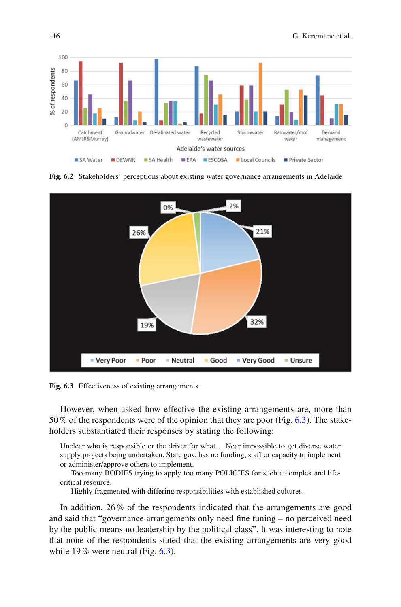<span id="page-13-0"></span>

 **Fig. 6.2** Stakeholders' perceptions about existing water governance arrangements in Adelaide



 **Fig. 6.3** Effectiveness of existing arrangements

 However, when asked how effective the existing arrangements are, more than 50 % of the respondents were of the opinion that they are poor (Fig.  $6.3$ ). The stakeholders substantiated their responses by stating the following:

 Unclear who is responsible or the driver for what… Near impossible to get diverse water supply projects being undertaken. State gov. has no funding, staff or capacity to implement or administer/approve others to implement.

 Too many BODIES trying to apply too many POLICIES for such a complex and lifecritical resource.

Highly fragmented with differing responsibilities with established cultures.

 In addition, 26 % of the respondents indicated that the arrangements are good and said that "governance arrangements only need fine tuning – no perceived need by the public means no leadership by the political class". It was interesting to note that none of the respondents stated that the existing arrangements are very good while  $19\%$  were neutral (Fig. 6.3).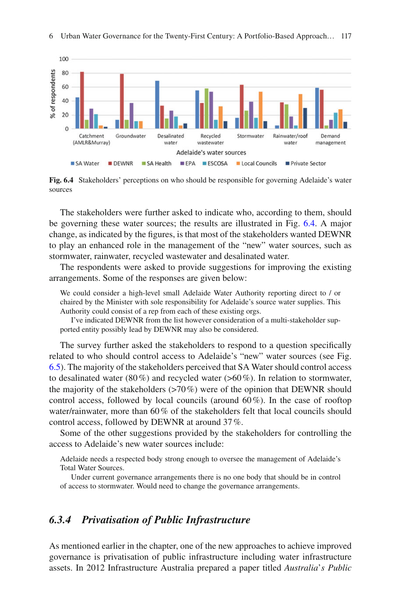

 **Fig. 6.4** Stakeholders' perceptions on who should be responsible for governing Adelaide's water sources

 The stakeholders were further asked to indicate who, according to them, should be governing these water sources; the results are illustrated in Fig. 6.4 . A major change, as indicated by the figures, is that most of the stakeholders wanted DEWNR to play an enhanced role in the management of the "new" water sources, such as stormwater, rainwater, recycled wastewater and desalinated water.

 The respondents were asked to provide suggestions for improving the existing arrangements. Some of the responses are given below:

 We could consider a high-level small Adelaide Water Authority reporting direct to / or chaired by the Minister with sole responsibility for Adelaide's source water supplies. This Authority could consist of a rep from each of these existing orgs.

 I've indicated DEWNR from the list however consideration of a multi-stakeholder supported entity possibly lead by DEWNR may also be considered.

The survey further asked the stakeholders to respond to a question specifically related to who should control access to Adelaide's "new" water sources (see Fig. [6.5](#page-15-0) ). The majority of the stakeholders perceived that SA Water should control access to desalinated water (80%) and recycled water ( $>60\%$ ). In relation to stormwater, the majority of the stakeholders  $(>70\%)$  were of the opinion that DEWNR should control access, followed by local councils (around  $60\%$ ). In the case of rooftop water/rainwater, more than  $60\%$  of the stakeholders felt that local councils should control access, followed by DEWNR at around 37 %.

 Some of the other suggestions provided by the stakeholders for controlling the access to Adelaide's new water sources include:

 Adelaide needs a respected body strong enough to oversee the management of Adelaide's Total Water Sources.

 Under current governance arrangements there is no one body that should be in control of access to stormwater. Would need to change the governance arrangements.

# *6.3.4 Privatisation of Public Infrastructure*

 As mentioned earlier in the chapter, one of the new approaches to achieve improved governance is privatisation of public infrastructure including water infrastructure assets. In 2012 Infrastructure Australia prepared a paper titled *Australia's Public*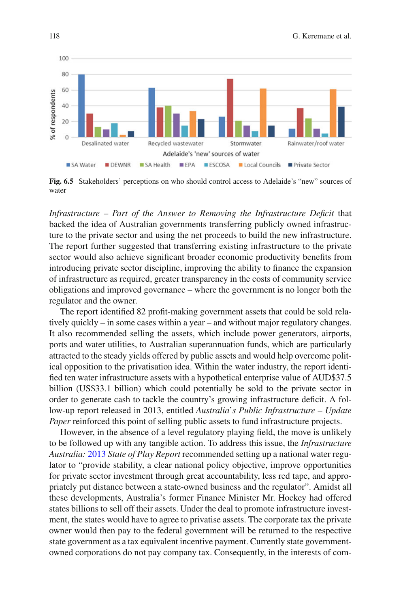<span id="page-15-0"></span>

 **Fig. 6.5** Stakeholders' perceptions on who should control access to Adelaide's "new" sources of water

*Infrastructure* – *Part of the Answer to Removing the Infrastructure Deficit that* backed the idea of Australian governments transferring publicly owned infrastructure to the private sector and using the net proceeds to build the new infrastructure. The report further suggested that transferring existing infrastructure to the private sector would also achieve significant broader economic productivity benefits from introducing private sector discipline, improving the ability to finance the expansion of infrastructure as required, greater transparency in the costs of community service obligations and improved governance – where the government is no longer both the regulator and the owner.

The report identified 82 profit-making government assets that could be sold relatively quickly – in some cases within a year – and without major regulatory changes. It also recommended selling the assets, which include power generators, airports, ports and water utilities, to Australian superannuation funds, which are particularly attracted to the steady yields offered by public assets and would help overcome political opposition to the privatisation idea. Within the water industry, the report identified ten water infrastructure assets with a hypothetical enterprise value of AUD\$37.5 billion (US\$33.1 billion) which could potentially be sold to the private sector in order to generate cash to tackle the country's growing infrastructure deficit. A follow-up report released in 2013, entitled *Australia's Public Infrastructure – Update Paper* reinforced this point of selling public assets to fund infrastructure projects.

However, in the absence of a level regulatory playing field, the move is unlikely to be followed up with any tangible action. To address this issue, the *Infrastructure Australia:* [2013](#page-23-0) *State of Play Report* recommended setting up a national water regulator to "provide stability, a clear national policy objective, improve opportunities for private sector investment through great accountability, less red tape, and appropriately put distance between a state-owned business and the regulator". Amidst all these developments, Australia's former Finance Minister Mr. Hockey had offered states billions to sell off their assets. Under the deal to promote infrastructure investment, the states would have to agree to privatise assets. The corporate tax the private owner would then pay to the federal government will be returned to the respective state government as a tax equivalent incentive payment. Currently state governmentowned corporations do not pay company tax. Consequently, in the interests of com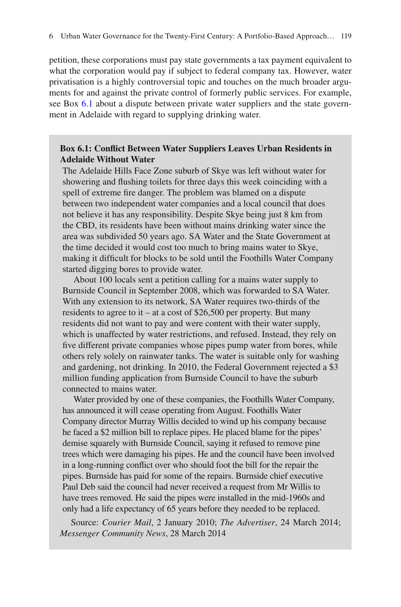petition, these corporations must pay state governments a tax payment equivalent to what the corporation would pay if subject to federal company tax. However, water privatisation is a highly controversial topic and touches on the much broader arguments for and against the private control of formerly public services. For example, see Box 6.1 about a dispute between private water suppliers and the state government in Adelaide with regard to supplying drinking water.

### **Box 6.1: Conflict Between Water Suppliers Leaves Urban Residents in Adelaide Without Water**

 The Adelaide Hills Face Zone suburb of Skye was left without water for showering and flushing toilets for three days this week coinciding with a spell of extreme fire danger. The problem was blamed on a dispute between two independent water companies and a local council that does not believe it has any responsibility. Despite Skye being just 8 km from the CBD, its residents have been without mains drinking water since the area was subdivided 50 years ago. SA Water and the State Government at the time decided it would cost too much to bring mains water to Skye, making it difficult for blocks to be sold until the Foothills Water Company started digging bores to provide water.

 About 100 locals sent a petition calling for a mains water supply to Burnside Council in September 2008, which was forwarded to SA Water. With any extension to its network, SA Water requires two-thirds of the residents to agree to it – at a cost of  $$26,500$  per property. But many residents did not want to pay and were content with their water supply, which is unaffected by water restrictions, and refused. Instead, they rely on five different private companies whose pipes pump water from bores, while others rely solely on rainwater tanks. The water is suitable only for washing and gardening, not drinking. In 2010, the Federal Government rejected a \$3 million funding application from Burnside Council to have the suburb connected to mains water.

 Water provided by one of these companies, the Foothills Water Company, has announced it will cease operating from August. Foothills Water Company director Murray Willis decided to wind up his company because he faced a \$2 million bill to replace pipes. He placed blame for the pipes' demise squarely with Burnside Council, saying it refused to remove pine trees which were damaging his pipes. He and the council have been involved in a long-running conflict over who should foot the bill for the repair the pipes. Burnside has paid for some of the repairs. Burnside chief executive Paul Deb said the council had never received a request from Mr Willis to have trees removed. He said the pipes were installed in the mid-1960s and only had a life expectancy of 65 years before they needed to be replaced.

Source: *Courier Mail*, 2 January 2010; *The Advertiser*, 24 March 2014; *Messenger Community News* , 28 March 2014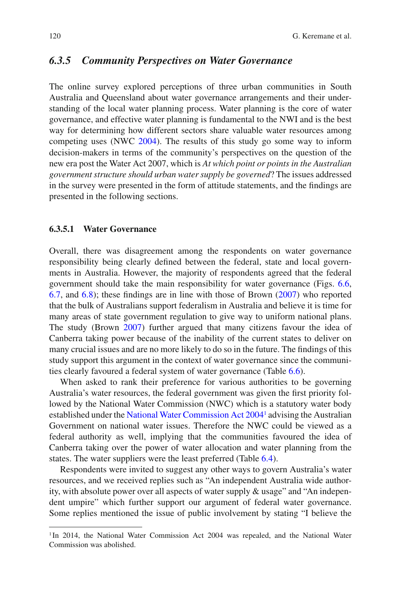### *6.3.5 Community Perspectives on Water Governance*

 The online survey explored perceptions of three urban communities in South Australia and Queensland about water governance arrangements and their understanding of the local water planning process. Water planning is the core of water governance, and effective water planning is fundamental to the NWI and is the best way for determining how different sectors share valuable water resources among competing uses (NWC  $2004$ ). The results of this study go some way to inform decision-makers in terms of the community's perspectives on the question of the new era post the Water Act 2007, which is *At which point or points in the Australian government structure should urban water supply be governed* ? The issues addressed in the survey were presented in the form of attitude statements, and the findings are presented in the following sections.

#### **6.3.5.1 Water Governance**

 Overall, there was disagreement among the respondents on water governance responsibility being clearly defined between the federal, state and local governments in Australia. However, the majority of respondents agreed that the federal government should take the main responsibility for water governance (Figs. [6.6](#page-18-0) , [6.7](#page-18-0), and [6.8](#page-19-0)); these findings are in line with those of Brown  $(2007)$  who reported that the bulk of Australians support federalism in Australia and believe it is time for many areas of state government regulation to give way to uniform national plans. The study (Brown [2007](#page-22-0)) further argued that many citizens favour the idea of Canberra taking power because of the inability of the current states to deliver on many crucial issues and are no more likely to do so in the future. The findings of this study support this argument in the context of water governance since the communities clearly favoured a federal system of water governance (Table [6.6](#page-19-0) ).

When asked to rank their preference for various authorities to be governing Australia's water resources, the federal government was given the first priority followed by the National Water Commission (NWC) which is a statutory water body established under the [National Water Commission Act 2004](http://www.comlaw.gov.au/Series/C2004A01391#_blank)<sup>1</sup> advising the Australian Government on national water issues. Therefore the NWC could be viewed as a federal authority as well, implying that the communities favoured the idea of Canberra taking over the power of water allocation and water planning from the states. The water suppliers were the least preferred (Table [6.4](#page-9-0)).

 Respondents were invited to suggest any other ways to govern Australia's water resources, and we received replies such as "An independent Australia wide authority, with absolute power over all aspects of water supply & usage" and "An independent umpire" which further support our argument of federal water governance. Some replies mentioned the issue of public involvement by stating "I believe the

<sup>&</sup>lt;sup>1</sup>In 2014, the National Water Commission Act 2004 was repealed, and the National Water Commission was abolished.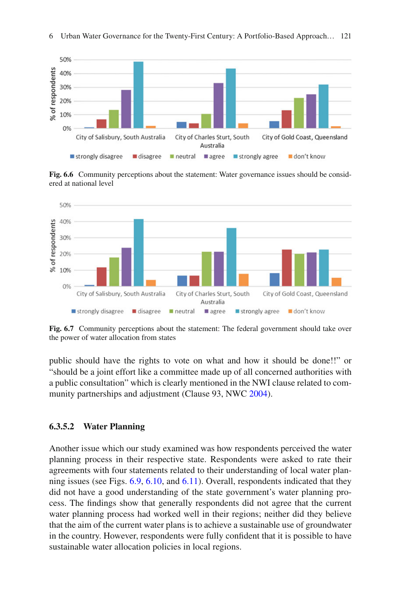<span id="page-18-0"></span>

**Fig. 6.6** Community perceptions about the statement: Water governance issues should be considered at national level



 **Fig. 6.7** Community perceptions about the statement: The federal government should take over the power of water allocation from states

public should have the rights to vote on what and how it should be done!!" or "should be a joint effort like a committee made up of all concerned authorities with a public consultation" which is clearly mentioned in the NWI clause related to com-munity partnerships and adjustment (Clause 93, NWC [2004](#page-23-0)).

#### **6.3.5.2 Water Planning**

 Another issue which our study examined was how respondents perceived the water planning process in their respective state. Respondents were asked to rate their agreements with four statements related to their understanding of local water planning issues (see Figs.  $6.9, 6.10,$  $6.9, 6.10,$  $6.9, 6.10,$  and  $6.11$ ). Overall, respondents indicated that they did not have a good understanding of the state government's water planning process. The findings show that generally respondents did not agree that the current water planning process had worked well in their regions; neither did they believe that the aim of the current water plans is to achieve a sustainable use of groundwater in the country. However, respondents were fully confident that it is possible to have sustainable water allocation policies in local regions.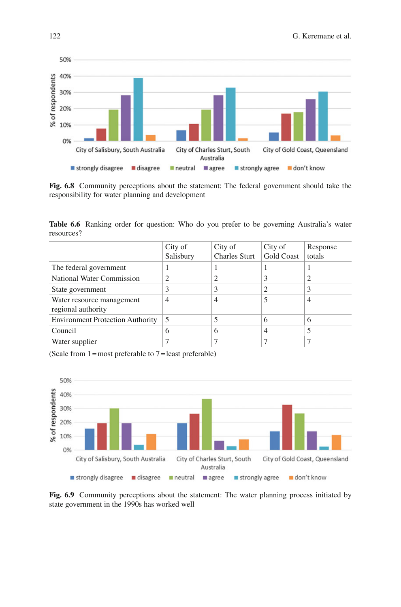<span id="page-19-0"></span>

 **Fig. 6.8** Community perceptions about the statement: The federal government should take the responsibility for water planning and development

 **Table 6.6** Ranking order for question: Who do you prefer to be governing Australia's water resources?

|                                                 | City of<br>Salisbury | City of<br><b>Charles Sturt</b> | City of<br>Gold Coast | Response<br>totals |
|-------------------------------------------------|----------------------|---------------------------------|-----------------------|--------------------|
| The federal government                          |                      |                                 |                       |                    |
| National Water Commission                       | 2                    |                                 |                       | 2                  |
| State government                                | 3                    | 3                               |                       | 3                  |
| Water resource management<br>regional authority | 4                    | 4                               |                       | $\overline{4}$     |
| <b>Environment Protection Authority</b>         | 5                    |                                 | 6                     | 6                  |
| Council                                         | 6                    | 6                               | 4                     |                    |
| Water supplier                                  |                      |                                 |                       |                    |

(Scale from 1 = most preferable to 7 = least preferable)



 **Fig. 6.9** Community perceptions about the statement: The water planning process initiated by state government in the 1990s has worked well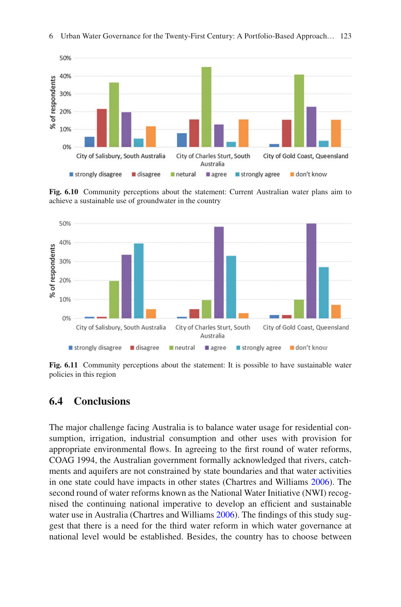<span id="page-20-0"></span>

 **Fig. 6.10** Community perceptions about the statement: Current Australian water plans aim to achieve a sustainable use of groundwater in the country



 **Fig. 6.11** Community perceptions about the statement: It is possible to have sustainable water policies in this region

## **6.4 Conclusions**

 The major challenge facing Australia is to balance water usage for residential consumption, irrigation, industrial consumption and other uses with provision for appropriate environmental flows. In agreeing to the first round of water reforms, COAG 1994, the Australian government formally acknowledged that rivers, catchments and aquifers are not constrained by state boundaries and that water activities in one state could have impacts in other states (Chartres and Williams [2006](#page-22-0)). The second round of water reforms known as the National Water Initiative (NWI) recognised the continuing national imperative to develop an efficient and sustainable water use in Australia (Chartres and Williams [2006](#page-22-0)). The findings of this study suggest that there is a need for the third water reform in which water governance at national level would be established. Besides, the country has to choose between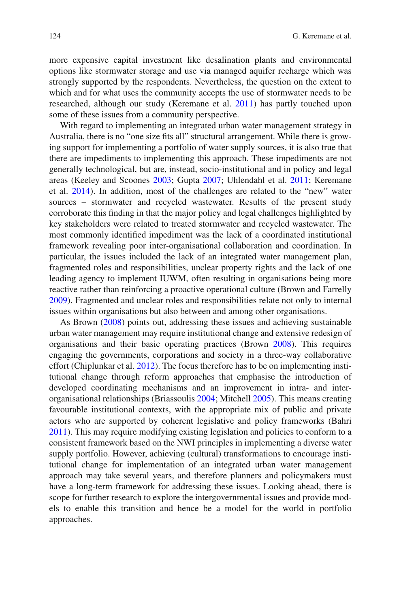more expensive capital investment like desalination plants and environmental options like stormwater storage and use via managed aquifer recharge which was strongly supported by the respondents. Nevertheless, the question on the extent to which and for what uses the community accepts the use of stormwater needs to be researched, although our study (Keremane et al. 2011) has partly touched upon some of these issues from a community perspective.

 With regard to implementing an integrated urban water management strategy in Australia, there is no "one size fits all" structural arrangement. While there is growing support for implementing a portfolio of water supply sources, it is also true that there are impediments to implementing this approach. These impediments are not generally technological, but are, instead, socio-institutional and in policy and legal areas (Keeley and Scoones 2003; Gupta [2007](#page-22-0); Uhlendahl et al. [2011](#page-24-0); Keremane et al.  $2014$ ). In addition, most of the challenges are related to the "new" water sources – stormwater and recycled wastewater. Results of the present study corroborate this finding in that the major policy and legal challenges highlighted by key stakeholders were related to treated stormwater and recycled wastewater. The most commonly identified impediment was the lack of a coordinated institutional framework revealing poor inter-organisational collaboration and coordination. In particular, the issues included the lack of an integrated water management plan, fragmented roles and responsibilities, unclear property rights and the lack of one leading agency to implement IUWM, often resulting in organisations being more reactive rather than reinforcing a proactive operational culture (Brown and Farrelly [2009 \)](#page-22-0). Fragmented and unclear roles and responsibilities relate not only to internal issues within organisations but also between and among other organisations.

As Brown (2008) points out, addressing these issues and achieving sustainable urban water management may require institutional change and extensive redesign of organisations and their basic operating practices (Brown 2008). This requires engaging the governments, corporations and society in a three-way collaborative effort (Chiplunkar et al. 2012). The focus therefore has to be on implementing institutional change through reform approaches that emphasise the introduction of developed coordinating mechanisms and an improvement in intra- and inter-organisational relationships (Briassoulis [2004](#page-22-0); Mitchell [2005](#page-23-0)). This means creating favourable institutional contexts, with the appropriate mix of public and private actors who are supported by coherent legislative and policy frameworks (Bahri 2011). This may require modifying existing legislation and policies to conform to a consistent framework based on the NWI principles in implementing a diverse water supply portfolio. However, achieving (cultural) transformations to encourage institutional change for implementation of an integrated urban water management approach may take several years, and therefore planners and policymakers must have a long-term framework for addressing these issues. Looking ahead, there is scope for further research to explore the intergovernmental issues and provide models to enable this transition and hence be a model for the world in portfolio approaches.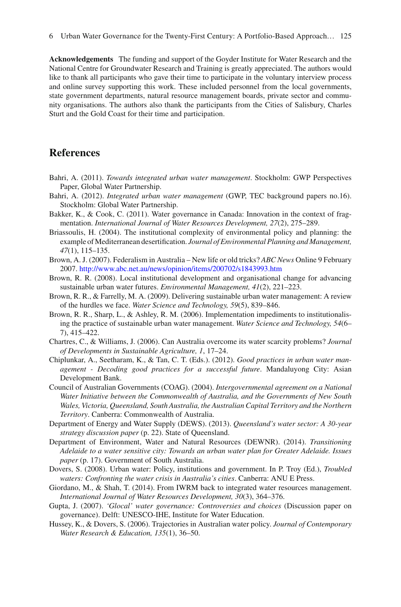<span id="page-22-0"></span> **Acknowledgements** The funding and support of the Goyder Institute for Water Research and the National Centre for Groundwater Research and Training is greatly appreciated. The authors would like to thank all participants who gave their time to participate in the voluntary interview process and online survey supporting this work. These included personnel from the local governments, state government departments, natural resource management boards, private sector and community organisations. The authors also thank the participants from the Cities of Salisbury, Charles Sturt and the Gold Coast for their time and participation.

# **References**

- Bahri, A. (2011). *Towards integrated urban water management* . Stockholm: GWP Perspectives Paper, Global Water Partnership.
- Bahri, A. (2012). *Integrated urban water management* (GWP, TEC background papers no.16). Stockholm: Global Water Partnership.
- Bakker, K., & Cook, C. (2011). Water governance in Canada: Innovation in the context of fragmentation. *International Journal of Water Resources Development, 27(2), 275–289.*
- Briassoulis, H. (2004). The institutional complexity of environmental policy and planning: the example of Mediterranean desertification. *Journal of Environmental Planning and Management*, *47* (1), 115–135.
- Brown, A. J. (2007). Federalism in Australia New life or old tricks? *ABC News* Online 9 February 2007.<http://www.abc.net.au/news/opinion/items/200702/s1843993.htm>
- Brown, R. R. (2008). Local institutional development and organisational change for advancing sustainable urban water futures. *Environmental Management, 41* (2), 221–223.
- Brown, R. R., & Farrelly, M. A. (2009). Delivering sustainable urban water management: A review of the hurdles we face. *Water Science and Technology, 59* (5), 839–846.
- Brown, R. R., Sharp, L., & Ashley, R. M. (2006). Implementation impediments to institutionalising the practice of sustainable urban water management. *Water Science and Technology, 54* (6– 7), 415–422.
- Chartres, C., & Williams, J. (2006). Can Australia overcome its water scarcity problems? *Journal*  of Developments in Sustainable Agriculture, 1, 17-24.
- Chiplunkar, A., Seetharam, K., & Tan, C. T. (Eds.). (2012). *Good practices in urban water management - Decoding good practices for a successful future* . Mandaluyong City: Asian Development Bank.
- Council of Australian Governments (COAG). (2004). *Intergovernmental agreement on a National Water Initiative between the Commonwealth of Australia, and the Governments of New South Wales, Victoria, Queensland, South Australia, the Australian Capital Territory and the Northern Territory* . Canberra: Commonwealth of Australia.
- Department of Energy and Water Supply (DEWS). (2013). *Queensland's water sector: A 30-year strategy discussion paper* (p. 22). State of Queensland.
- Department of Environment, Water and Natural Resources (DEWNR). (2014). *Transitioning Adelaide to a water sensitive city: Towards an urban water plan for Greater Adelaide. Issues paper* (p. 17). Government of South Australia.
- Dovers, S. (2008). Urban water: Policy, institutions and government. In P. Troy (Ed.), *Troubled waters: Confronting the water crisis in Australia's cities* . Canberra: ANU E Press.
- Giordano, M., & Shah, T. (2014). From IWRM back to integrated water resources management. *International Journal of Water Resources Development, 30* (3), 364–376.
- Gupta, J. (2007). *'Glocal' water governance: Controversies and choices* (Discussion paper on governance). Delft: UNESCO-IHE, Institute for Water Education.
- Hussey, K., & Dovers, S. (2006). Trajectories in Australian water policy. *Journal of Contemporary Water Research & Education, 135* (1), 36–50.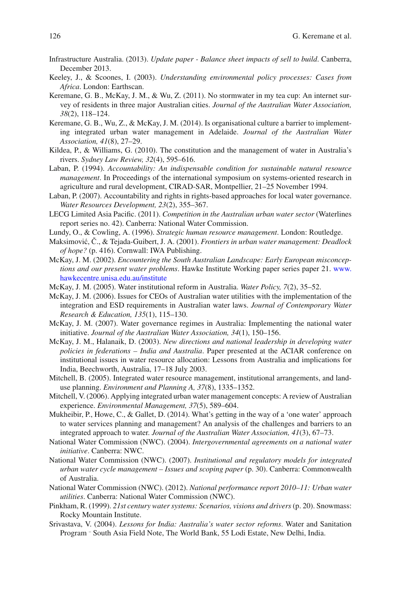- <span id="page-23-0"></span> Infrastructure Australia. (2013). *Update paper - Balance sheet impacts of sell to build* . Canberra, December 2013.
- Keeley, J., & Scoones, I. (2003). *Understanding environmental policy processes: Cases from Africa* . London: Earthscan.
- Keremane, G. B., McKay, J. M., & Wu, Z. (2011). No stormwater in my tea cup: An internet survey of residents in three major Australian cities. *Journal of the Australian Water Association, 38* (2), 118–124.
- Keremane, G. B., Wu, Z., & McKay, J. M. (2014). Is organisational culture a barrier to implementing integrated urban water management in Adelaide. *Journal of the Australian Water Association, 41* (8), 27–29.
- Kildea, P., & Williams, G. (2010). The constitution and the management of water in Australia's rivers. *Sydney Law Review, 32* (4), 595–616.
- Laban, P. (1994). *Accountability: An indispensable condition for sustainable natural resource management*. In Proceedings of the international symposium on systems-oriented research in agriculture and rural development, CIRAD-SAR, Montpellier, 21–25 November 1994.
- Laban, P. (2007). Accountability and rights in rights-based approaches for local water governance. *Water Resources Development, 23* (2), 355–367.
- LECG Limited Asia Pacific. (2011). *Competition in the Australian urban water sector* (Waterlines report series no. 42). Canberra: National Water Commission.
- Lundy, O., & Cowling, A. (1996). *Strategic human resource management* . London: Routledge.
- Maksimović, Č., & Tejada-Guibert, J. A. (2001). *Frontiers in urban water management: Deadlock of hope?* (p. 416). Cornwall: IWA Publishing.
- McKay, J. M. (2002). *Encountering the South Australian Landscape: Early European misconceptions and our present water problems* . Hawke Institute Working paper series paper 21. [www.](http://www.hawkecentre.unisa.edu.au/institute) [hawkecentre.unisa.edu.au/institute](http://www.hawkecentre.unisa.edu.au/institute)
- McKay, J. M. (2005). Water institutional reform in Australia. *Water Policy, 7* (2), 35–52.
- McKay, J. M. (2006). Issues for CEOs of Australian water utilities with the implementation of the integration and ESD requirements in Australian water laws. *Journal of Contemporary Water Research & Education, 135* (1), 115–130.
- McKay, J. M. (2007). Water governance regimes in Australia: Implementing the national water initiative. *Journal of the Australian Water Association, 34* (1), 150–156.
- McKay, J. M., Halanaik, D. (2003). *New directions and national leadership in developing water policies in federations – India and Australia* . Paper presented at the ACIAR conference on institutional issues in water resource allocation: Lessons from Australia and implications for India, Beechworth, Australia, 17–18 July 2003.
- Mitchell, B. (2005). Integrated water resource management, institutional arrangements, and landuse planning. *Environment and Planning A, 37* (8), 1335–1352.
- Mitchell, V. (2006). Applying integrated urban water management concepts: A review of Australian experience. *Environmental Management, 37(5)*, 589-604.
- Mukheibir, P., Howe, C., & Gallet, D. (2014). What's getting in the way of a 'one water' approach to water services planning and management? An analysis of the challenges and barriers to an integrated approach to water. *Journal of the Australian Water Association, 41* (3), 67–73.
- National Water Commission (NWC). (2004). *Intergovernmental agreements on a national water initiative* . Canberra: NWC.
- National Water Commission (NWC). (2007). *Institutional and regulatory models for integrated urban water cycle management – Issues and scoping paper* (p. 30). Canberra: Commonwealth of Australia.
- National Water Commission (NWC). (2012). *National performance report 2010–11: Urban water utilities* . Canberra: National Water Commission (NWC).
- Pinkham, R. (1999). *21st century water systems: Scenarios, visions and drivers* (p. 20). Snowmass: Rocky Mountain Institute.
- Srivastava, V. (2004). *Lessons for India: Australia's water sector reforms* . Water and Sanitation Program – South Asia Field Note, The World Bank, 55 Lodi Estate, New Delhi, India.